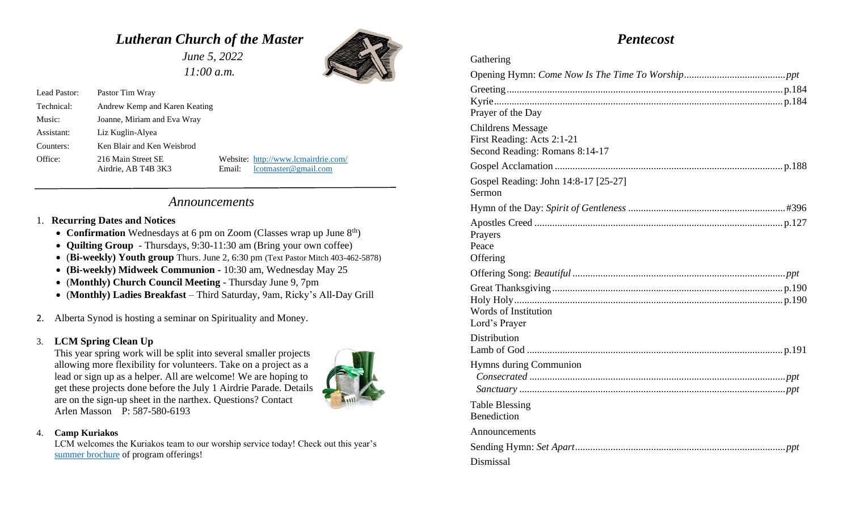# *Lutheran Church of the Master*

 *June 5, 2022 11:00 a.m.*



| Lead Pastor: | Pastor Tim Wray                           |        |                                                                |
|--------------|-------------------------------------------|--------|----------------------------------------------------------------|
| Technical:   | Andrew Kemp and Karen Keating             |        |                                                                |
| Music:       | Joanne, Miriam and Eva Wray               |        |                                                                |
| Assistant:   | Liz Kuglin-Alyea                          |        |                                                                |
| Counters:    | Ken Blair and Ken Weisbrod                |        |                                                                |
| Office:      | 216 Main Street SE<br>Airdrie, AB T4B 3K3 | Email: | Website: http://www.lcmairdrie.com/<br>$l$ cotmaster@gmail.com |

# *Announcements*

### 1. **Recurring Dates and Notices**

- **Confirmation** Wednesdays at 6 pm on Zoom (Classes wrap up June 8<sup>th</sup>)
- **Quilting Group**  Thursdays, 9:30-11:30 am (Bring your own coffee)
- (**Bi-weekly) Youth group** Thurs. June 2, 6:30 pm (Text Pastor Mitch 403-462-5878)
- **(Bi-weekly) Midweek Communion -** 10:30 am, Wednesday May 25
- (**Monthly) Church Council Meeting** Thursday June 9, 7pm
- (**Monthly) Ladies Breakfast**  Third Saturday, 9am, Ricky's All-Day Grill
- 2. Alberta Synod is hosting a seminar on Spirituality and Money.

### 3. **LCM Spring Clean Up**

This year spring work will be split into several smaller projects allowing more flexibility for volunteers. Take on a project as a lead or sign up as a helper. All are welcome! We are hoping to get these projects done before the July 1 Airdrie Parade. Details are on the sign-up sheet in the narthex. Questions? Contact Arlen Masson P: 587-580-6193



#### 4. **Camp Kuriakos**

LCM welcomes the Kuriakos team to our worship service today! Check out this year's [summer brochure](https://s3.amazonaws.com/media.cloversites.com/89/891af7d1-52b4-45e5-a9a2-768c4216173f/documents/summerprograms2022-FINAL_1_.pdf) of program offerings!

# *Pentecost*

| Gathering                                                                                |
|------------------------------------------------------------------------------------------|
|                                                                                          |
| Prayer of the Day                                                                        |
| <b>Childrens Message</b><br>First Reading: Acts 2:1-21<br>Second Reading: Romans 8:14-17 |
|                                                                                          |
| Gospel Reading: John 14:8-17 [25-27]<br>Sermon                                           |
|                                                                                          |
| Prayers<br>Peace<br>Offering                                                             |
|                                                                                          |
| Words of Institution<br>Lord's Prayer                                                    |
| Distribution                                                                             |
| <b>Hymns during Communion</b>                                                            |
| <b>Table Blessing</b><br>Benediction                                                     |
| Announcements                                                                            |
|                                                                                          |
| Dismissal                                                                                |